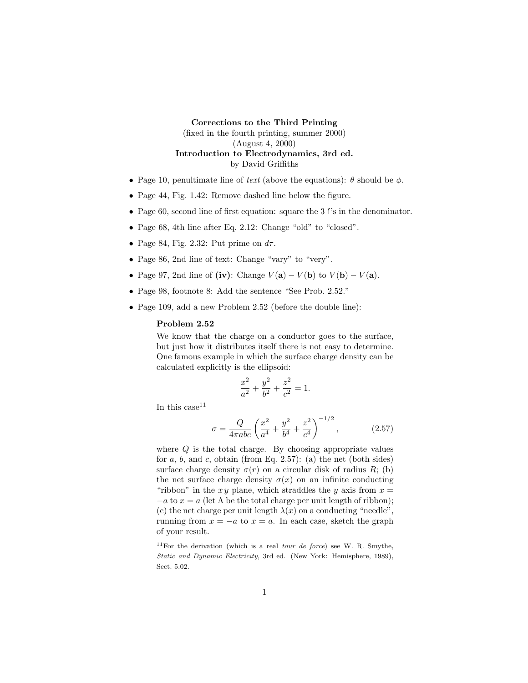## **Corrections to the Third Printing** (fixed in the fourth printing, summer 2000) (August 4, 2000) **Introduction to Electrodynamics, 3rd ed.**

by David Griffiths

- Page 10, penultimate line of text (above the equations): *θ* should be *φ*.
- Page 44, Fig. 1.42: Remove dashed line below the figure.
- Page 60, second line of first equation: square the 3  $\ell$ 's in the denominator.
- Page 68, 4th line after Eq. 2.12: Change "old" to "closed".
- Page 84, Fig. 2.32: Put prime on *dτ* .
- Page 86, 2nd line of text: Change "vary" to "very".
- Page 97, 2nd line of (iv): Change  $V(\mathbf{a}) V(\mathbf{b})$  to  $V(\mathbf{b}) V(\mathbf{a})$ .
- Page 98, footnote 8: Add the sentence "See Prob. 2.52."
- Page 109, add a new Problem 2.52 (before the double line):

## **Problem 2.52**

We know that the charge on a conductor goes to the surface, but just how it distributes itself there is not easy to determine. One famous example in which the surface charge density can be calculated explicitly is the ellipsoid:

$$
\frac{x^2}{a^2} + \frac{y^2}{b^2} + \frac{z^2}{c^2} = 1.
$$

In this case  $11$ 

$$
\sigma = \frac{Q}{4\pi abc} \left( \frac{x^2}{a^4} + \frac{y^2}{b^4} + \frac{z^2}{c^4} \right)^{-1/2}, \qquad (2.57)
$$

where *Q* is the total charge. By choosing appropriate values for  $a, b$ , and  $c$ , obtain (from Eq. 2.57): (a) the net (both sides) surface charge density  $\sigma(r)$  on a circular disk of radius *R*; (b) the net surface charge density  $\sigma(x)$  on an infinite conducting "ribbon" in the  $xy$  plane, which straddles the  $y$  axis from  $x =$  $-a$  to  $x = a$  (let  $\Lambda$  be the total charge per unit length of ribbon); (c) the net charge per unit length  $\lambda(x)$  on a conducting "needle", running from  $x = -a$  to  $x = a$ . In each case, sketch the graph of your result.

<sup>11</sup>For the derivation (which is a real *tour de force*) see W. R. Smythe, *Static and Dynamic Electricity,* 3rd ed. (New York: Hemisphere, 1989), Sect. 5.02.